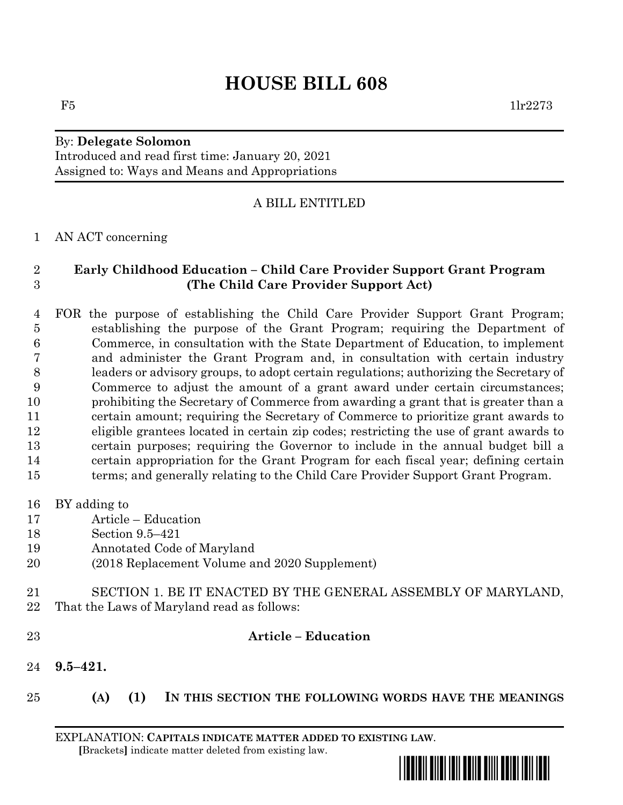# **HOUSE BILL 608**

#### By: **Delegate Solomon** Introduced and read first time: January 20, 2021 Assigned to: Ways and Means and Appropriations

## A BILL ENTITLED

### AN ACT concerning

#### **Early Childhood Education – Child Care Provider Support Grant Program (The Child Care Provider Support Act)**

- FOR the purpose of establishing the Child Care Provider Support Grant Program; establishing the purpose of the Grant Program; requiring the Department of Commerce, in consultation with the State Department of Education, to implement and administer the Grant Program and, in consultation with certain industry leaders or advisory groups, to adopt certain regulations; authorizing the Secretary of Commerce to adjust the amount of a grant award under certain circumstances; prohibiting the Secretary of Commerce from awarding a grant that is greater than a certain amount; requiring the Secretary of Commerce to prioritize grant awards to eligible grantees located in certain zip codes; restricting the use of grant awards to certain purposes; requiring the Governor to include in the annual budget bill a certain appropriation for the Grant Program for each fiscal year; defining certain terms; and generally relating to the Child Care Provider Support Grant Program.
- BY adding to
- Article Education
- Section 9.5–421
- Annotated Code of Maryland
- (2018 Replacement Volume and 2020 Supplement)
- SECTION 1. BE IT ENACTED BY THE GENERAL ASSEMBLY OF MARYLAND, That the Laws of Maryland read as follows:
- 

### **Article – Education**

- **9.5–421.**
- **(A) (1) IN THIS SECTION THE FOLLOWING WORDS HAVE THE MEANINGS**

EXPLANATION: **CAPITALS INDICATE MATTER ADDED TO EXISTING LAW**.  **[**Brackets**]** indicate matter deleted from existing law.

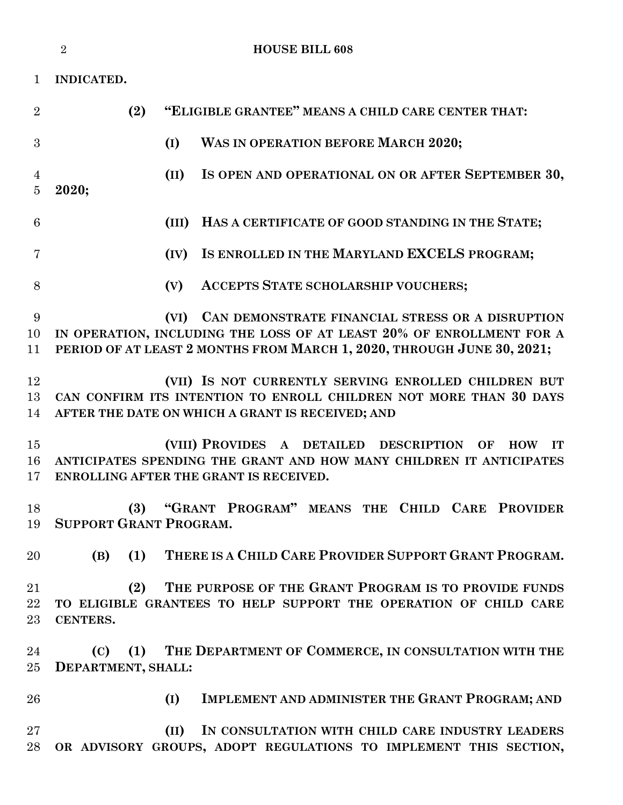|                | $\overline{2}$                                                                                                                                                                    |       | <b>HOUSE BILL 608</b>                                                                                                                                                                              |  |
|----------------|-----------------------------------------------------------------------------------------------------------------------------------------------------------------------------------|-------|----------------------------------------------------------------------------------------------------------------------------------------------------------------------------------------------------|--|
| 1              | <b>INDICATED.</b>                                                                                                                                                                 |       |                                                                                                                                                                                                    |  |
| $\overline{2}$ | (2)                                                                                                                                                                               |       | "ELIGIBLE GRANTEE" MEANS A CHILD CARE CENTER THAT:                                                                                                                                                 |  |
| 3              |                                                                                                                                                                                   | (I)   | <b>WAS IN OPERATION BEFORE MARCH 2020;</b>                                                                                                                                                         |  |
| 4<br>5         | 2020;                                                                                                                                                                             | (II)  | IS OPEN AND OPERATIONAL ON OR AFTER SEPTEMBER 30,                                                                                                                                                  |  |
| 6              |                                                                                                                                                                                   | (III) | HAS A CERTIFICATE OF GOOD STANDING IN THE STATE;                                                                                                                                                   |  |
| 7              |                                                                                                                                                                                   | (IV)  | IS ENROLLED IN THE MARYLAND EXCELS PROGRAM;                                                                                                                                                        |  |
| 8              |                                                                                                                                                                                   | (V)   | ACCEPTS STATE SCHOLARSHIP VOUCHERS;                                                                                                                                                                |  |
| 9<br>10<br>11  |                                                                                                                                                                                   | (VI)  | CAN DEMONSTRATE FINANCIAL STRESS OR A DISRUPTION<br>IN OPERATION, INCLUDING THE LOSS OF AT LEAST 20% OF ENROLLMENT FOR A<br>PERIOD OF AT LEAST 2 MONTHS FROM MARCH 1, 2020, THROUGH JUNE 30, 2021; |  |
| 12<br>13<br>14 | (VII) IS NOT CURRENTLY SERVING ENROLLED CHILDREN BUT<br>CAN CONFIRM ITS INTENTION TO ENROLL CHILDREN NOT MORE THAN 30 DAYS<br>AFTER THE DATE ON WHICH A GRANT IS RECEIVED; AND    |       |                                                                                                                                                                                                    |  |
| 15<br>16<br>17 | (VIII) PROVIDES A DETAILED DESCRIPTION<br><b>HOW</b><br>ОF<br>TТ<br>ANTICIPATES SPENDING THE GRANT AND HOW MANY CHILDREN IT ANTICIPATES<br>ENROLLING AFTER THE GRANT IS RECEIVED. |       |                                                                                                                                                                                                    |  |
| 18<br>19       | SUPPORT GRANT PROGRAM.                                                                                                                                                            |       | (3) "GRANT PROGRAM" MEANS THE CHILD CARE PROVIDER                                                                                                                                                  |  |
| 20             | (1)<br>(B)                                                                                                                                                                        |       | THERE IS A CHILD CARE PROVIDER SUPPORT GRANT PROGRAM.                                                                                                                                              |  |
| 21<br>22<br>23 | (2)<br>CENTERS.                                                                                                                                                                   |       | THE PURPOSE OF THE GRANT PROGRAM IS TO PROVIDE FUNDS<br>TO ELIGIBLE GRANTEES TO HELP SUPPORT THE OPERATION OF CHILD CARE                                                                           |  |
| 24<br>25       | (1)<br>(C)<br>DEPARTMENT, SHALL:                                                                                                                                                  |       | THE DEPARTMENT OF COMMERCE, IN CONSULTATION WITH THE                                                                                                                                               |  |
| 26             |                                                                                                                                                                                   | (I)   | IMPLEMENT AND ADMINISTER THE GRANT PROGRAM; AND                                                                                                                                                    |  |
| 27<br>28       |                                                                                                                                                                                   | (II)  | IN CONSULTATION WITH CHILD CARE INDUSTRY LEADERS<br>OR ADVISORY GROUPS, ADOPT REGULATIONS TO IMPLEMENT THIS SECTION,                                                                               |  |